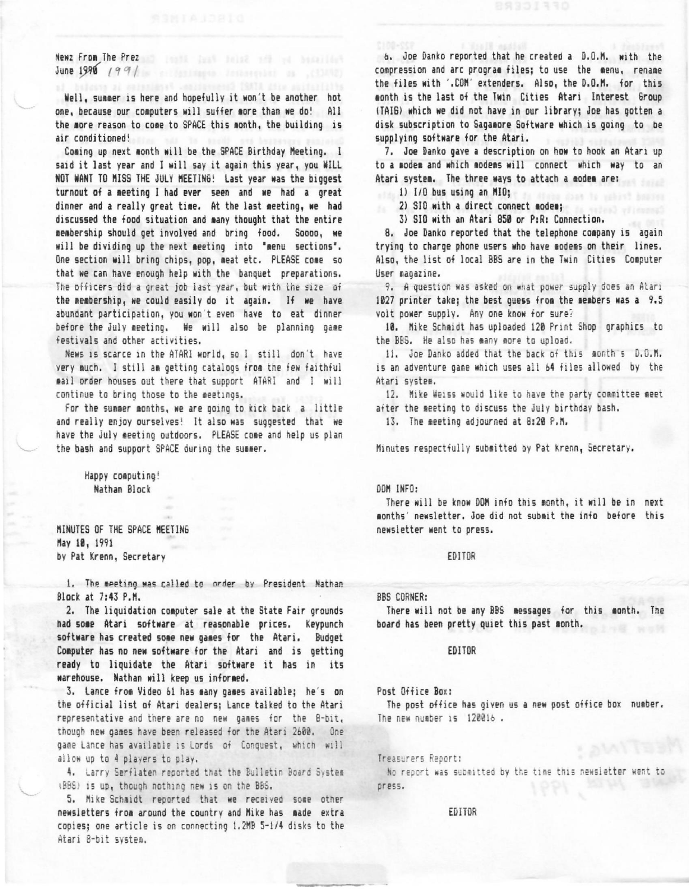Newz From The Prez and I could find their and the benefiting June 1990 (99/

Well, summer is here and hopefully it won't be another hot one, because our computers will suffer more than we do! All the more reason to come to SPACE this month, the building is air conditioned!

Coming up next month will be the SPACE Birthday Meeting. I said it last year and I will say it again this year, you WILL NOT WANT TO MISS THE JULY MEETING! Last year was the biggest turnout of a meeting I had ever seen and we had a great dinner and a really great time. At the last meeting, we had discussed the food situation and many thought that the entire membership should get involved and bring food. Soooo, we will be dividing up the next meeting into "menu sections". One section will bring chips, pop, meat etc. PLEASE come so that we can have enough help with the banquet preparations. The officers did a great job last year, but with the size of the membership, we could easily do it again. If we have abundant participation, you won't even have to eat dinner before the July meeting. We will also be planning game festivals and other activities.

News 1s scarce 1n the ATARI world, sol still don 't have very much. I still am getting catalogs from the few faithful **1a1l** order houses out there that support ATARI and I will continue to bring those to the meetings.

For the summer months, we are going to kick back a little and really enjoy ourselves! It also was suggested that we have the July meeting outdoors. PLEASE come and help us plan the bash and support SPACE during the summer.

Happy computing! Nathan 81 ock

MINUTES OF THE SPACE MEETING **Kay 11 ,** 1991 by Pat Krenn, Secretary

1. The meeting was called to order by President Nathan Block at 7:43 P.N,

2. The liquidation computer sale at the State Fair grounds had some Atari software at reasonable prices. Keypunch software has created some new games for the Atari. Budget Computer has no new software for the Atari and is getting ready to liquidate the Atari software it has in its warehouse. Nathan will keep us informed.

3. Lance from Video 61 has many games available; he's on the official list of Atari dealers; Lance talked to the Atari representative and there are no new games for the 8-bit, though new gaaes have been released for the Atari 2b00. One game Lance has available is Lords of Conquest, which will allow up to 4 players to play.

4. Larry Serflaten reported that the Bulletin Board System 1BBS) is up, though nothing new is on the BBS.

5. Mike Schmidt reported that we received some other newsietters from around the country and Mike has made extra copies; one article is on connecting 1.2KB 5-1/4 disks to the Atari 8-bit system.

*b,* Joe Oanko reported that he created **a** 0.0.K. Mith the compression and arc program files; to use the menu, rename the files with '.COM' extenders. Also, the D.O.M. for this month is the last of the Twin Cities Atari Interest Group (TAIS) which Ne did not have in our library; Joe has gotten a disk subscription to Sagamore Software which is going to be supplying software for the Atari.

7. Joe Danko gave a description on **how** to hook an Atari up to a modem and which modems will connect which way to an Atari system. The three ways to attach a modem are:

ll 1/0 bus using an NIO;

2) SIO with a direct connect modem; **1000** 

3) S10 with an Atari 858 or P:R: Connection.

8. Joe Danko reported that the telephone coapany is again trying to charge phone users who have modems on their lines. Also, the list of local BBS are in the Twin Cities Computer User magazine.

9. A question was asked on what power supply does an Alari 1027 printer take; the best quess from the members was a 9.5 volt power supply. Any one know for sure?

10. Mike Schmidt has uploaded 120 Print Shop graphics to the BBS. He also has many more to upload.

II. Joe Danko added that the back of this month s D.O.M. is an adventure game which uses all 64 files allowed by the Atari system.

12. Mike Weiss would like to have the party committee meet after the meeting to discuss the July birthday bash.

 $13.$  The meeting adjourned at 8:20 P.M.

Minutes respectfully submitted by Pat Krenn, Secretary.

## DON INFO:

There will be know DOM info this month, it will be in next months' newsletter. Joe did not submit the info before this newsletter went to press.

## EDITOR

BBS CORNER:

There will not be any BBS messages for this month. The board has been pretty quiet this past month.

#### EDITOR

#### Post Office Box:

The post office has given us a new post office box number. The new number  $15$   $120016$ .

Treasurers Report:

No report was submitted by the time this newsletter went to press.

### EDITOR